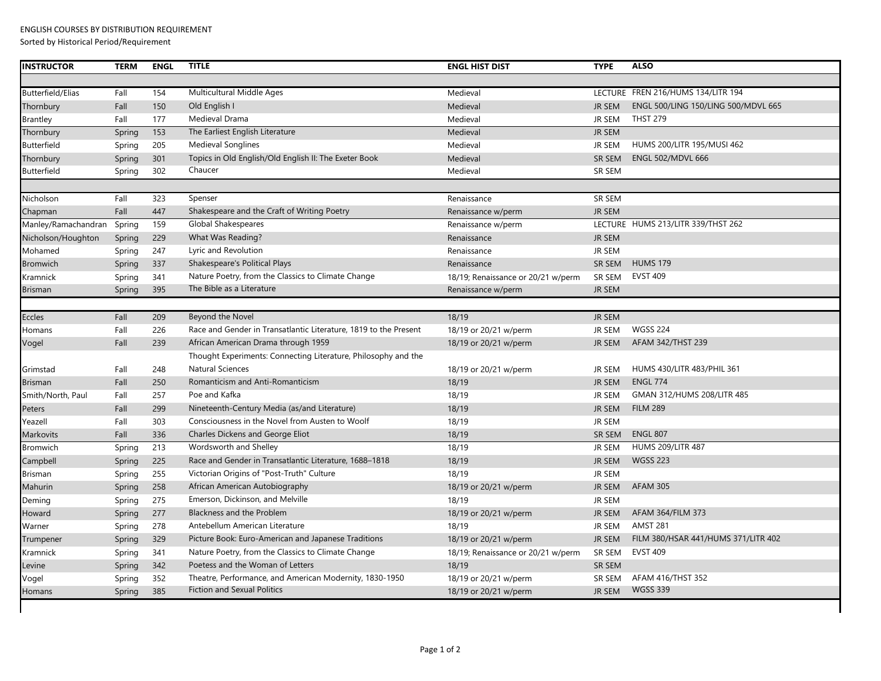Sorted by Historical Period/Requirement

| <b>TERM</b> | <b>ENGL</b> | <b>TITLE</b>                                                     | <b>ENGL HIST DIST</b>              | <b>TYPE</b>   | <b>ALSO</b>                         |
|-------------|-------------|------------------------------------------------------------------|------------------------------------|---------------|-------------------------------------|
|             |             |                                                                  |                                    |               |                                     |
| Fall        | 154         | Multicultural Middle Ages                                        | Medieval                           |               | LECTURE FREN 216/HUMS 134/LITR 194  |
| Fall        | 150         | Old English I                                                    | Medieval                           | <b>JR SEM</b> | ENGL 500/LING 150/LING 500/MDVL 665 |
| Fall        | 177         | Medieval Drama                                                   | Medieval                           | <b>JR SEM</b> | <b>THST 279</b>                     |
| Spring      | 153         | The Earliest English Literature                                  | Medieval                           | <b>JR SEM</b> |                                     |
| Spring      | 205         | <b>Medieval Songlines</b>                                        | Medieval                           | JR SEM        | HUMS 200/LITR 195/MUSI 462          |
| Spring      | 301         | Topics in Old English/Old English II: The Exeter Book            | Medieval                           | SR SEM        | <b>ENGL 502/MDVL 666</b>            |
| Spring      | 302         | Chaucer                                                          | Medieval                           | SR SEM        |                                     |
|             |             |                                                                  |                                    |               |                                     |
| Fall        | 323         | Spenser                                                          | Renaissance                        | SR SEM        |                                     |
| Fall        | 447         | Shakespeare and the Craft of Writing Poetry                      | Renaissance w/perm                 | <b>JR SEM</b> |                                     |
| Spring      | 159         | Global Shakespeares                                              | Renaissance w/perm                 |               | LECTURE HUMS 213/LITR 339/THST 262  |
| Spring      | 229         | What Was Reading?                                                | Renaissance                        | <b>JR SEM</b> |                                     |
| Spring      | 247         | Lyric and Revolution                                             | Renaissance                        | <b>JR SEM</b> |                                     |
| Spring      | 337         | Shakespeare's Political Plays                                    | Renaissance                        | SR SEM        | <b>HUMS 179</b>                     |
| Spring      | 341         | Nature Poetry, from the Classics to Climate Change               | 18/19; Renaissance or 20/21 w/perm | SR SEM        | <b>EVST 409</b>                     |
| Spring      | 395         | The Bible as a Literature                                        | Renaissance w/perm                 | <b>JR SEM</b> |                                     |
|             |             |                                                                  |                                    |               |                                     |
| Fall        | 209         | Beyond the Novel                                                 | 18/19                              | <b>JR SEM</b> |                                     |
| Fall        | 226         | Race and Gender in Transatlantic Literature, 1819 to the Present | 18/19 or 20/21 w/perm              | <b>JR SEM</b> | <b>WGSS 224</b>                     |
| Fall        | 239         | African American Drama through 1959                              | 18/19 or 20/21 w/perm              | <b>JR SEM</b> | AFAM 342/THST 239                   |
|             |             | Thought Experiments: Connecting Literature, Philosophy and the   |                                    |               |                                     |
| Fall        | 248         | <b>Natural Sciences</b>                                          | 18/19 or 20/21 w/perm              | <b>JR SEM</b> | HUMS 430/LITR 483/PHIL 361          |
| Fall        | 250         | Romanticism and Anti-Romanticism                                 | 18/19                              | <b>JR SEM</b> | <b>ENGL 774</b>                     |
| Fall        | 257         | Poe and Kafka                                                    | 18/19                              | <b>JR SEM</b> | GMAN 312/HUMS 208/LITR 485          |
| Fall        | 299         | Nineteenth-Century Media (as/and Literature)                     | 18/19                              | <b>JR SEM</b> | <b>FILM 289</b>                     |
| Fall        | 303         | Consciousness in the Novel from Austen to Woolf                  | 18/19                              | <b>JR SEM</b> |                                     |
| Fall        | 336         | Charles Dickens and George Eliot                                 | 18/19                              | SR SEM        | <b>ENGL 807</b>                     |
| Spring      | 213         | Wordsworth and Shelley                                           | 18/19                              | <b>JR SEM</b> | <b>HUMS 209/LITR 487</b>            |
| Spring      | 225         | Race and Gender in Transatlantic Literature, 1688–1818           | 18/19                              | <b>JR SEM</b> | <b>WGSS 223</b>                     |
| Spring      | 255         | Victorian Origins of "Post-Truth" Culture                        | 18/19                              | JR SEM        |                                     |
| Spring      | 258         | African American Autobiography                                   | 18/19 or 20/21 w/perm              | <b>JR SEM</b> | <b>AFAM 305</b>                     |
| Spring      | 275         | Emerson, Dickinson, and Melville                                 | 18/19                              | <b>JR SEM</b> |                                     |
| Spring      | 277         | Blackness and the Problem                                        | 18/19 or 20/21 w/perm              | <b>JR SEM</b> | AFAM 364/FILM 373                   |
| Spring      | 278         | Antebellum American Literature                                   | 18/19                              | <b>JR SEM</b> | <b>AMST 281</b>                     |
| Spring      | 329         | Picture Book: Euro-American and Japanese Traditions              | 18/19 or 20/21 w/perm              | <b>JR SEM</b> | FILM 380/HSAR 441/HUMS 371/LITR 402 |
| Spring      | 341         | Nature Poetry, from the Classics to Climate Change               | 18/19; Renaissance or 20/21 w/perm | SR SEM        | <b>EVST 409</b>                     |
| Spring      | 342         | Poetess and the Woman of Letters                                 | 18/19                              | SR SEM        |                                     |
| Spring      | 352         | Theatre, Performance, and American Modernity, 1830-1950          | 18/19 or 20/21 w/perm              | SR SEM        | AFAM 416/THST 352                   |
| Spring      | 385         | <b>Fiction and Sexual Politics</b>                               | 18/19 or 20/21 w/perm              | <b>JR SEM</b> | <b>WGSS 339</b>                     |
|             |             |                                                                  |                                    |               |                                     |